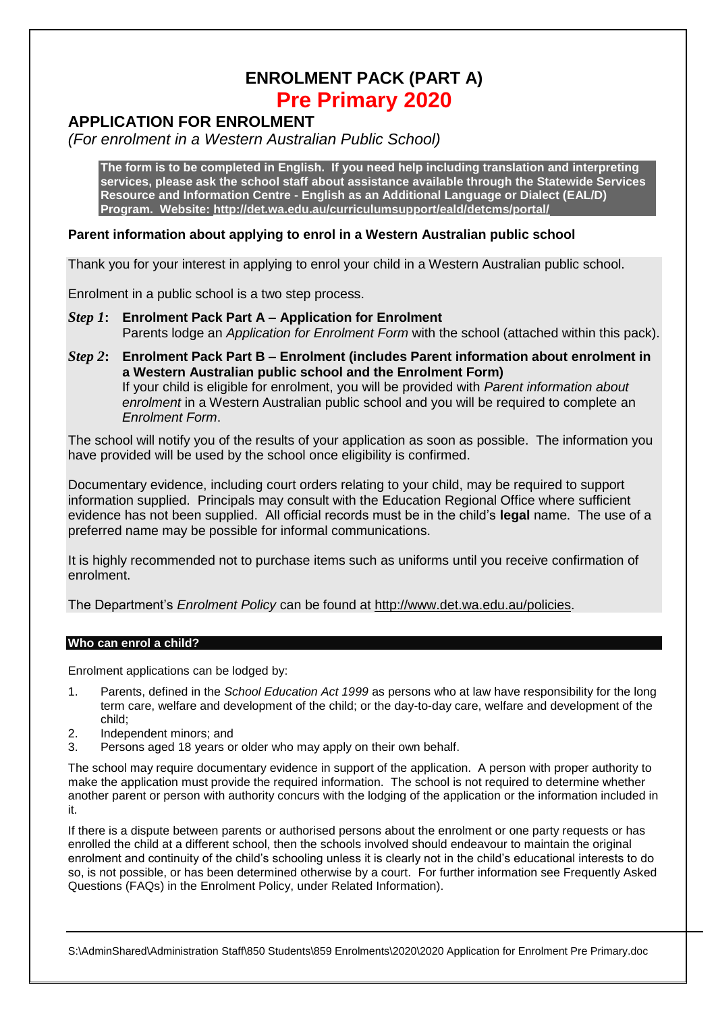# **ENROLMENT PACK (PART A) Pre Primary 2020**

## **APPLICATION FOR ENROLMENT**

*(For enrolment in a Western Australian Public School)*

**The form is to be completed in English. If you need help including translation and interpreting services, please ask the school staff about assistance available through the Statewide Services Resource and Information Centre - English as an Additional Language or Dialect (EAL/D) Program. Website:<http://det.wa.edu.au/curriculumsupport/eald/detcms/portal/>**

## **Parent information about applying to enrol in a Western Australian public school**

Thank you for your interest in applying to enrol your child in a Western Australian public school.

Enrolment in a public school is a two step process.

- *Step 1***: Enrolment Pack Part A – Application for Enrolment** Parents lodge an *Application for Enrolment Form* with the school (attached within this pack).
- *Step 2***: Enrolment Pack Part B – Enrolment (includes Parent information about enrolment in a Western Australian public school and the Enrolment Form)** If your child is eligible for enrolment, you will be provided with *Parent information about enrolment* in a Western Australian public school and you will be required to complete an *Enrolment Form*.

The school will notify you of the results of your application as soon as possible. The information you have provided will be used by the school once eligibility is confirmed.

Documentary evidence, including court orders relating to your child, may be required to support information supplied. Principals may consult with the Education Regional Office where sufficient evidence has not been supplied. All official records must be in the child's **legal** name. The use of a preferred name may be possible for informal communications.

It is highly recommended not to purchase items such as uniforms until you receive confirmation of enrolment.

The Department's *Enrolment Policy* can be found at [http://www.det.wa.edu.au/policies.](http://www.det.wa.edu.au/policies)

## **Who can enrol a child?**

Enrolment applications can be lodged by:

- 1. Parents, defined in the *School Education Act 1999* as persons who at law have responsibility for the long term care, welfare and development of the child; or the day-to-day care, welfare and development of the child;
- 2. Independent minors; and
- 3. Persons aged 18 years or older who may apply on their own behalf.

The school may require documentary evidence in support of the application. A person with proper authority to make the application must provide the required information. The school is not required to determine whether another parent or person with authority concurs with the lodging of the application or the information included in it.

If there is a dispute between parents or authorised persons about the enrolment or one party requests or has enrolled the child at a different school, then the schools involved should endeavour to maintain the original enrolment and continuity of the child's schooling unless it is clearly not in the child's educational interests to do so, is not possible, or has been determined otherwise by a court. For further information see Frequently Asked Questions (FAQs) in the Enrolment Policy, under Related Information).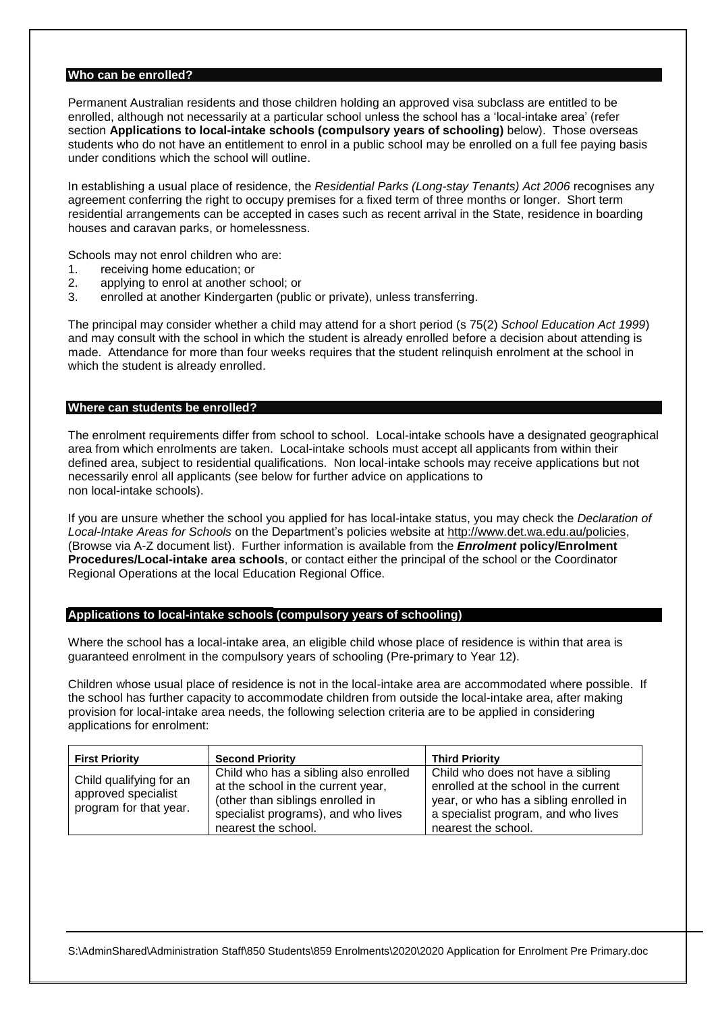## **Who can be enrolled?**

Permanent Australian residents and those children holding an approved visa subclass are entitled to be enrolled, although not necessarily at a particular school unless the school has a 'local-intake area' (refer section **Applications to local-intake schools (compulsory years of schooling)** below). Those overseas students who do not have an entitlement to enrol in a public school may be enrolled on a full fee paying basis under conditions which the school will outline.

In establishing a usual place of residence, the *Residential Parks (Long-stay Tenants) Act 2006* recognises any agreement conferring the right to occupy premises for a fixed term of three months or longer. Short term residential arrangements can be accepted in cases such as recent arrival in the State, residence in boarding houses and caravan parks, or homelessness.

Schools may not enrol children who are:

- 1. receiving home education; or
- 2. applying to enrol at another school; or
- 3. enrolled at another Kindergarten (public or private), unless transferring.

The principal may consider whether a child may attend for a short period (s 75(2) *School Education Act 1999*) and may consult with the school in which the student is already enrolled before a decision about attending is made. Attendance for more than four weeks requires that the student relinquish enrolment at the school in which the student is already enrolled.

#### **Where can students be enrolled?**

The enrolment requirements differ from school to school. Local-intake schools have a designated geographical area from which enrolments are taken. Local-intake schools must accept all applicants from within their defined area, subject to residential qualifications. Non local-intake schools may receive applications but not necessarily enrol all applicants (see below for further advice on applications to non local-intake schools).

If you are unsure whether the school you applied for has local-intake status, you may check the *Declaration of Local-Intake Areas for Schools* on the Department's policies website at [http://www.det.wa.edu.au/policies,](http://www.det.wa.edu.au/policies) (Browse via A-Z document list). Further information is available from the *Enrolment* **policy/Enrolment Procedures/Local-intake area schools**, or contact either the principal of the school or the Coordinator Regional Operations at the local Education Regional Office.

#### **Applications to local-intake schools (compulsory years of schooling)**

Where the school has a local-intake area, an eligible child whose place of residence is within that area is guaranteed enrolment in the compulsory years of schooling (Pre-primary to Year 12).

Children whose usual place of residence is not in the local-intake area are accommodated where possible. If the school has further capacity to accommodate children from outside the local-intake area, after making provision for local-intake area needs, the following selection criteria are to be applied in considering applications for enrolment:

| <b>First Priority</b>                                                    | <b>Second Priority</b>                                                                                                                                                        | <b>Third Priority</b>                                                                                                                                                              |
|--------------------------------------------------------------------------|-------------------------------------------------------------------------------------------------------------------------------------------------------------------------------|------------------------------------------------------------------------------------------------------------------------------------------------------------------------------------|
| Child qualifying for an<br>approved specialist<br>program for that year. | Child who has a sibling also enrolled<br>at the school in the current year,<br>(other than siblings enrolled in<br>specialist programs), and who lives<br>nearest the school. | Child who does not have a sibling<br>enrolled at the school in the current<br>year, or who has a sibling enrolled in<br>a specialist program, and who lives<br>nearest the school. |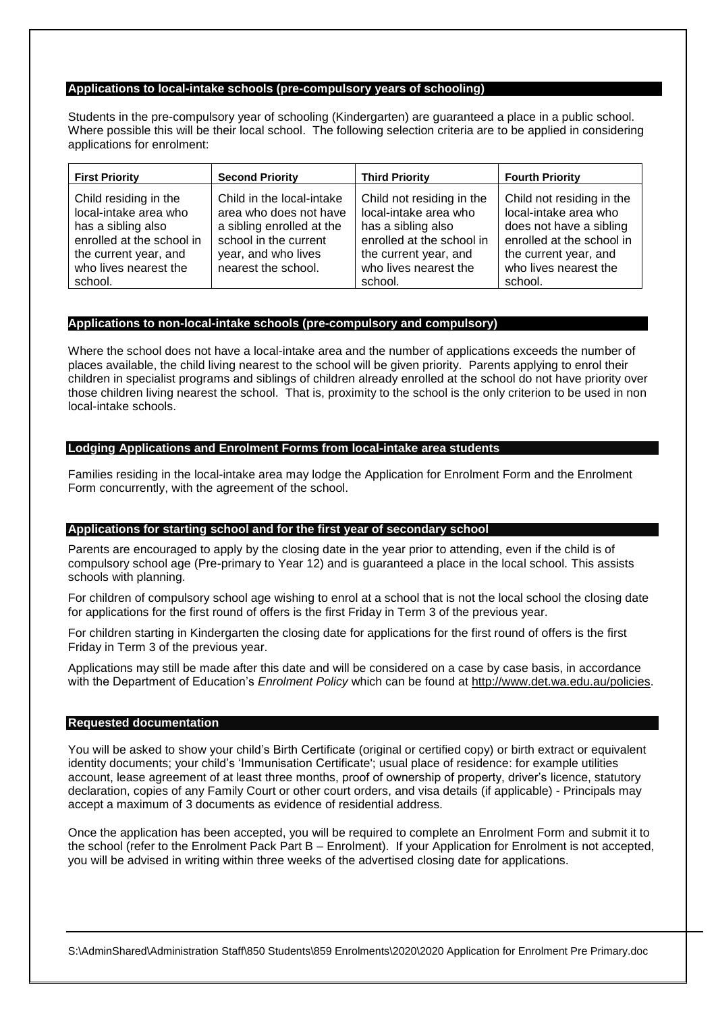### **Applications to local-intake schools (pre-compulsory years of schooling)**

Students in the pre-compulsory year of schooling (Kindergarten) are guaranteed a place in a public school. Where possible this will be their local school. The following selection criteria are to be applied in considering applications for enrolment:

| <b>First Priority</b>                                                                                                                                          | <b>Second Priority</b>                                                                                                                                  | <b>Third Priority</b>                                                                                                                                              | <b>Fourth Priority</b>                                                                                                                                                  |
|----------------------------------------------------------------------------------------------------------------------------------------------------------------|---------------------------------------------------------------------------------------------------------------------------------------------------------|--------------------------------------------------------------------------------------------------------------------------------------------------------------------|-------------------------------------------------------------------------------------------------------------------------------------------------------------------------|
| Child residing in the<br>local-intake area who<br>has a sibling also<br>enrolled at the school in<br>the current year, and<br>who lives nearest the<br>school. | Child in the local-intake<br>area who does not have<br>a sibling enrolled at the<br>school in the current<br>year, and who lives<br>nearest the school. | Child not residing in the<br>local-intake area who<br>has a sibling also<br>enrolled at the school in<br>the current year, and<br>who lives nearest the<br>school. | Child not residing in the<br>local-intake area who<br>does not have a sibling<br>enrolled at the school in<br>the current year, and<br>who lives nearest the<br>school. |

## **Applications to non-local-intake schools (pre-compulsory and compulsory)**

Where the school does not have a local-intake area and the number of applications exceeds the number of places available, the child living nearest to the school will be given priority. Parents applying to enrol their children in specialist programs and siblings of children already enrolled at the school do not have priority over those children living nearest the school. That is, proximity to the school is the only criterion to be used in non local-intake schools.

## **Lodging Applications and Enrolment Forms from local-intake area students**

Families residing in the local-intake area may lodge the Application for Enrolment Form and the Enrolment Form concurrently, with the agreement of the school.

#### **Applications for starting school and for the first year of secondary school**

Parents are encouraged to apply by the closing date in the year prior to attending, even if the child is of compulsory school age (Pre-primary to Year 12) and is guaranteed a place in the local school. This assists schools with planning.

For children of compulsory school age wishing to enrol at a school that is not the local school the closing date for applications for the first round of offers is the first Friday in Term 3 of the previous year.

For children starting in Kindergarten the closing date for applications for the first round of offers is the first Friday in Term 3 of the previous year.

Applications may still be made after this date and will be considered on a case by case basis, in accordance with the Department of Education's *Enrolment Policy* which can be found at [http://www.det.wa.edu.au/policies.](http://www.det.wa.edu.au/policies)

#### **Requested documentation**

You will be asked to show your child's Birth Certificate (original or certified copy) or birth extract or equivalent identity documents; your child's 'Immunisation Certificate'; usual place of residence: for example utilities account, lease agreement of at least three months, proof of ownership of property, driver's licence, statutory declaration, copies of any Family Court or other court orders, and visa details (if applicable) - Principals may accept a maximum of 3 documents as evidence of residential address.

Once the application has been accepted, you will be required to complete an Enrolment Form and submit it to the school (refer to the Enrolment Pack Part B – Enrolment). If your Application for Enrolment is not accepted, you will be advised in writing within three weeks of the advertised closing date for applications.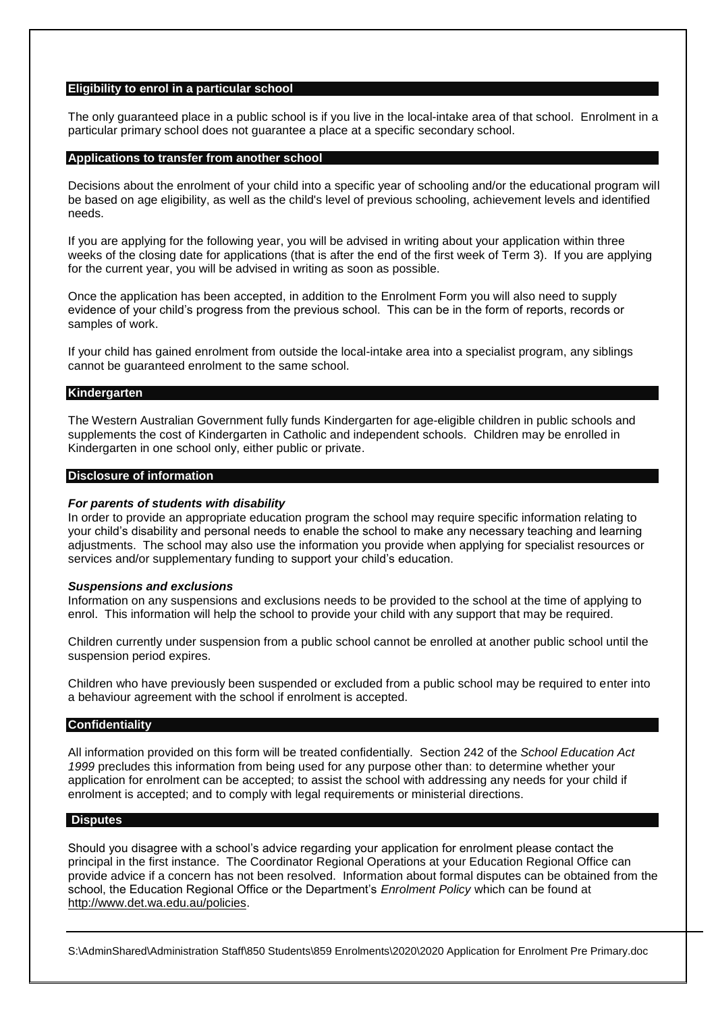#### **Eligibility to enrol in a particular school**

The only guaranteed place in a public school is if you live in the local-intake area of that school. Enrolment in a particular primary school does not guarantee a place at a specific secondary school.

#### **Applications to transfer from another school**

Decisions about the enrolment of your child into a specific year of schooling and/or the educational program will be based on age eligibility, as well as the child's level of previous schooling, achievement levels and identified needs.

If you are applying for the following year, you will be advised in writing about your application within three weeks of the closing date for applications (that is after the end of the first week of Term 3). If you are applying for the current year, you will be advised in writing as soon as possible.

Once the application has been accepted, in addition to the Enrolment Form you will also need to supply evidence of your child's progress from the previous school. This can be in the form of reports, records or samples of work.

If your child has gained enrolment from outside the local-intake area into a specialist program, any siblings cannot be guaranteed enrolment to the same school.

#### **Kindergarten**

The Western Australian Government fully funds Kindergarten for age-eligible children in public schools and supplements the cost of Kindergarten in Catholic and independent schools. Children may be enrolled in Kindergarten in one school only, either public or private.

#### **Disclosure of information**

#### *For parents of students with disability*

In order to provide an appropriate education program the school may require specific information relating to your child's disability and personal needs to enable the school to make any necessary teaching and learning adjustments. The school may also use the information you provide when applying for specialist resources or services and/or supplementary funding to support your child's education.

#### *Suspensions and exclusions*

Information on any suspensions and exclusions needs to be provided to the school at the time of applying to enrol. This information will help the school to provide your child with any support that may be required.

Children currently under suspension from a public school cannot be enrolled at another public school until the suspension period expires.

Children who have previously been suspended or excluded from a public school may be required to enter into a behaviour agreement with the school if enrolment is accepted.

#### **Confidentiality**

All information provided on this form will be treated confidentially. Section 242 of the *School Education Act 1999* precludes this information from being used for any purpose other than: to determine whether your application for enrolment can be accepted; to assist the school with addressing any needs for your child if enrolment is accepted; and to comply with legal requirements or ministerial directions.

#### **Disputes**

Should you disagree with a school's advice regarding your application for enrolment please contact the principal in the first instance. The Coordinator Regional Operations at your Education Regional Office can provide advice if a concern has not been resolved. Information about formal disputes can be obtained from the school, the Education Regional Office or the Department's *Enrolment Policy* which can be found at [http://www.det.wa.edu.au/policies.](http://www.det.wa.edu.au/policies)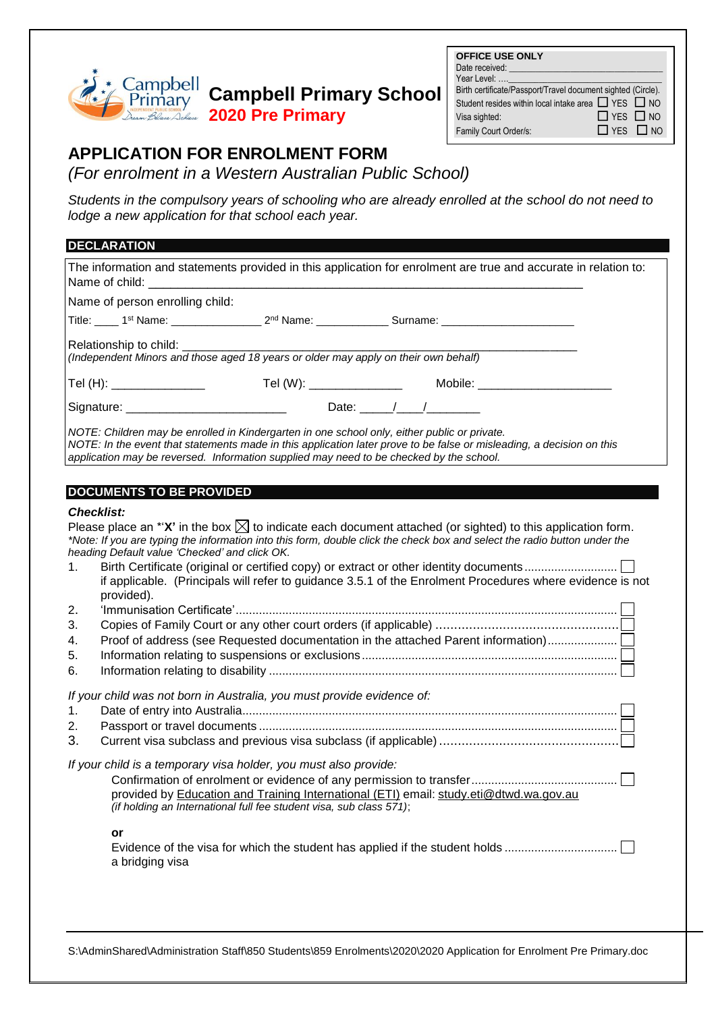### Campbell **Campbell Primary School** Primary **2020 Pre Primary**

| <b>OFFICE USE ONLY</b>                                       |                      |  |
|--------------------------------------------------------------|----------------------|--|
| Date received:                                               |                      |  |
| Year Level:                                                  |                      |  |
| Birth certificate/Passport/Travel document sighted (Circle). |                      |  |
| Student resides within local intake area □ YES □ NO          |                      |  |
| Visa sighted:                                                | $\Box$ YES $\Box$ NO |  |
| Family Court Order/s:                                        | $\Box$ YES $\Box$ NO |  |

# **APPLICATION FOR ENROLMENT FORM**

*(For enrolment in a Western Australian Public School)* 1 **APPLICATION:** 

**Students in the compulsory years of schooling who are already enrolled at the school do not need to** *lodge a new application for that school each year.*

## **DECLARATION**

| <b>ULULAINA HUN</b>                                                                                                                                                                                                                                                                                                                                                                                                                                                                                                                                                                                                                                 |
|-----------------------------------------------------------------------------------------------------------------------------------------------------------------------------------------------------------------------------------------------------------------------------------------------------------------------------------------------------------------------------------------------------------------------------------------------------------------------------------------------------------------------------------------------------------------------------------------------------------------------------------------------------|
| The information and statements provided in this application for enrolment are true and accurate in relation to:<br>Name of child:                                                                                                                                                                                                                                                                                                                                                                                                                                                                                                                   |
| Name of person enrolling child:                                                                                                                                                                                                                                                                                                                                                                                                                                                                                                                                                                                                                     |
|                                                                                                                                                                                                                                                                                                                                                                                                                                                                                                                                                                                                                                                     |
| Relationship to child: _________<br>(Independent Minors and those aged 18 years or older may apply on their own behalf)                                                                                                                                                                                                                                                                                                                                                                                                                                                                                                                             |
| Tel (W): _______________<br>Tel (H): ________________<br>Mobile: _______________________                                                                                                                                                                                                                                                                                                                                                                                                                                                                                                                                                            |
|                                                                                                                                                                                                                                                                                                                                                                                                                                                                                                                                                                                                                                                     |
| NOTE: Children may be enrolled in Kindergarten in one school only, either public or private.<br>NOTE: In the event that statements made in this application later prove to be false or misleading, a decision on this<br>application may be reversed. Information supplied may need to be checked by the school.                                                                                                                                                                                                                                                                                                                                    |
| <b>DOCUMENTS TO BE PROVIDED</b>                                                                                                                                                                                                                                                                                                                                                                                                                                                                                                                                                                                                                     |
| <b>Checklist:</b>                                                                                                                                                                                                                                                                                                                                                                                                                                                                                                                                                                                                                                   |
| Please place an *' $X'$ in the box $\boxtimes$ to indicate each document attached (or sighted) to this application form.<br>*Note: If you are typing the information into this form, double click the check box and select the radio button under the<br>heading Default value 'Checked' and click OK.<br>Birth Certificate (original or certified copy) or extract or other identity documents<br>1.<br>if applicable. (Principals will refer to guidance 3.5.1 of the Enrolment Procedures where evidence is not<br>provided).<br>2.<br>3.<br>Proof of address (see Requested documentation in the attached Parent information)<br>4.<br>5.<br>6. |
| If your child was not born in Australia, you must provide evidence of:<br>1.<br>2.<br>3.                                                                                                                                                                                                                                                                                                                                                                                                                                                                                                                                                            |
| If your child is a temporary visa holder, you must also provide:<br>provided by Education and Training International (ETI) email: study.eti@dtwd.wa.gov.au<br>(if holding an International full fee student visa, sub class 571);<br>or<br>Evidence of the visa for which the student has applied if the student holds                                                                                                                                                                                                                                                                                                                              |
| a bridging visa                                                                                                                                                                                                                                                                                                                                                                                                                                                                                                                                                                                                                                     |